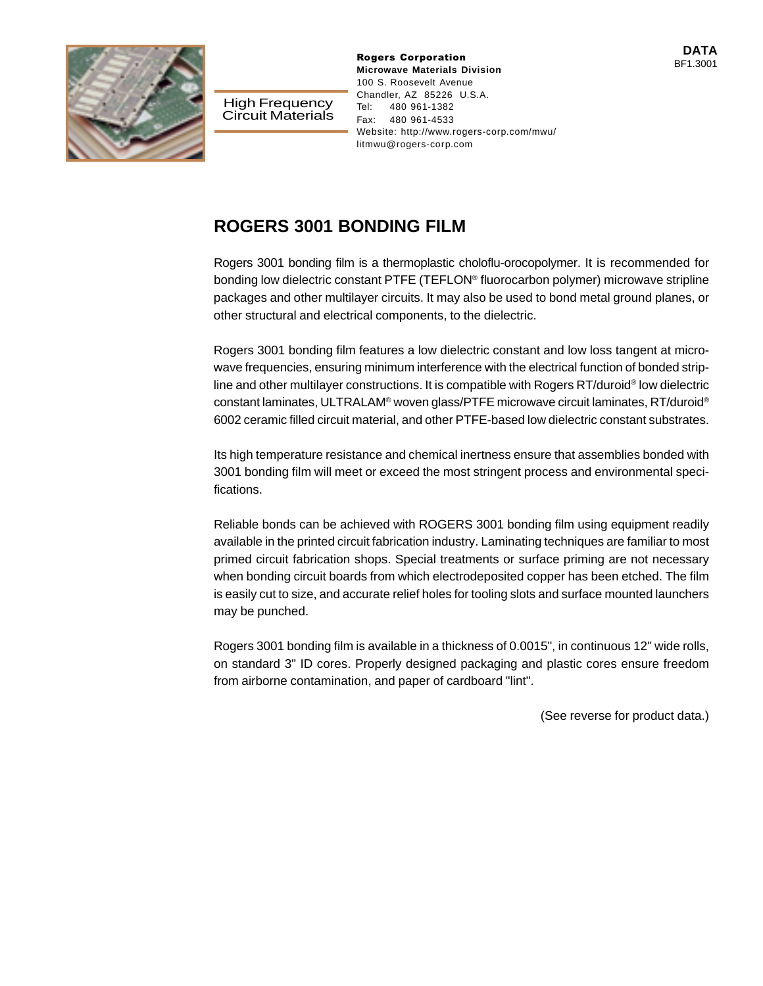

High Frequency Circuit Materials **DATA**<br> **Rogers Corporation Microwave Materials Division** 100 S. Roosevelt Avenue Chandler, AZ 85226 U.S.A. Tel: 480 961-1382 Fax: 480 961-4533 Website: http://www.rogers-corp.com/mwu/ litmwu@rogers-corp.com

## BF1.3001

## **ROGERS 3001 BONDING FILM**

Rogers 3001 bonding film is a thermoplastic choloflu-orocopolymer. It is recommended for bonding low dielectric constant PTFE (TEFLON® fluorocarbon polymer) microwave stripline packages and other multilayer circuits. It may also be used to bond metal ground planes, or other structural and electrical components, to the dielectric.

Rogers 3001 bonding film features a low dielectric constant and low loss tangent at microwave frequencies, ensuring minimum interference with the electrical function of bonded stripline and other multilayer constructions. It is compatible with Rogers RT/duroid® low dielectric constant laminates, ULTRALAM® woven glass/PTFE microwave circuit laminates, RT/duroid® 6002 ceramic filled circuit material, and other PTFE-based low dielectric constant substrates.

Its high temperature resistance and chemical inertness ensure that assemblies bonded with 3001 bonding film will meet or exceed the most stringent process and environmental specifications.

Reliable bonds can be achieved with ROGERS 3001 bonding film using equipment readily available in the printed circuit fabrication industry. Laminating techniques are familiar to most primed circuit fabrication shops. Special treatments or surface priming are not necessary when bonding circuit boards from which electrodeposited copper has been etched. The film is easily cut to size, and accurate relief holes for tooling slots and surface mounted launchers may be punched.

Rogers 3001 bonding film is available in a thickness of 0.0015", in continuous 12" wide rolls, on standard 3" ID cores. Properly designed packaging and plastic cores ensure freedom from airborne contamination, and paper of cardboard "lint".

(See reverse for product data.)